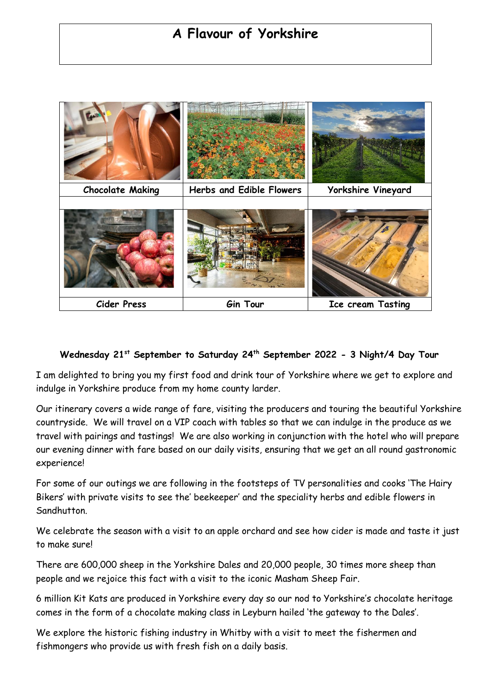# **A Flavour of Yorkshire**



## **Wednesday 21st September to Saturday 24th September 2022 - 3 Night/4 Day Tour**

I am delighted to bring you my first food and drink tour of Yorkshire where we get to explore and indulge in Yorkshire produce from my home county larder.

Our itinerary covers a wide range of fare, visiting the producers and touring the beautiful Yorkshire countryside. We will travel on a VIP coach with tables so that we can indulge in the produce as we travel with pairings and tastings! We are also working in conjunction with the hotel who will prepare our evening dinner with fare based on our daily visits, ensuring that we get an all round gastronomic experience!

For some of our outings we are following in the footsteps of TV personalities and cooks 'The Hairy Bikers' with private visits to see the' beekeeper' and the speciality herbs and edible flowers in Sandhutton.

We celebrate the season with a visit to an apple orchard and see how cider is made and taste it just to make sure!

There are 600,000 sheep in the Yorkshire Dales and 20,000 people, 30 times more sheep than people and we rejoice this fact with a visit to the iconic Masham Sheep Fair.

6 million Kit Kats are produced in Yorkshire every day so our nod to Yorkshire's chocolate heritage comes in the form of a chocolate making class in Leyburn hailed 'the gateway to the Dales'.

We explore the historic fishing industry in Whitby with a visit to meet the fishermen and fishmongers who provide us with fresh fish on a daily basis.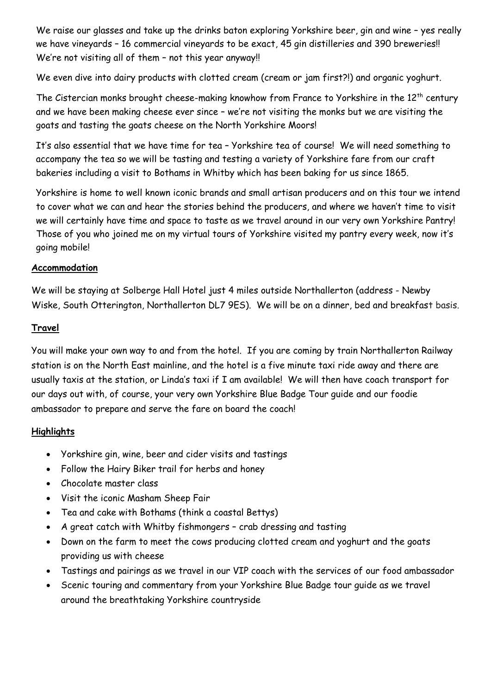We raise our glasses and take up the drinks baton exploring Yorkshire beer, gin and wine - yes really we have vineyards – 16 commercial vineyards to be exact, 45 gin distilleries and 390 breweries!! We're not visiting all of them - not this year anyway!!

We even dive into dairy products with clotted cream (cream or jam first?!) and organic yoghurt.

The Cistercian monks brought cheese-making knowhow from France to Yorkshire in the 12<sup>th</sup> century and we have been making cheese ever since – we're not visiting the monks but we are visiting the goats and tasting the goats cheese on the North Yorkshire Moors!

It's also essential that we have time for tea – Yorkshire tea of course! We will need something to accompany the tea so we will be tasting and testing a variety of Yorkshire fare from our craft bakeries including a visit to Bothams in Whitby which has been baking for us since 1865.

Yorkshire is home to well known iconic brands and small artisan producers and on this tour we intend to cover what we can and hear the stories behind the producers, and where we haven't time to visit we will certainly have time and space to taste as we travel around in our very own Yorkshire Pantry! Those of you who joined me on my virtual tours of Yorkshire visited my pantry every week, now it's going mobile!

## **Accommodation**

We will be staying at Solberge Hall Hotel just 4 miles outside Northallerton (address - Newby Wiske, South Otterington, Northallerton DL7 9ES). We will be on a dinner, bed and breakfast basis.

#### **Travel**

You will make your own way to and from the hotel. If you are coming by train Northallerton Railway station is on the North East mainline, and the hotel is a five minute taxi ride away and there are usually taxis at the station, or Linda's taxi if I am available! We will then have coach transport for our days out with, of course, your very own Yorkshire Blue Badge Tour guide and our foodie ambassador to prepare and serve the fare on board the coach!

## **Highlights**

- Yorkshire gin, wine, beer and cider visits and tastings
- Follow the Hairy Biker trail for herbs and honey
- Chocolate master class
- Visit the iconic Masham Sheep Fair
- Tea and cake with Bothams (think a coastal Bettys)
- A great catch with Whitby fishmongers crab dressing and tasting
- Down on the farm to meet the cows producing clotted cream and yoghurt and the goats providing us with cheese
- Tastings and pairings as we travel in our VIP coach with the services of our food ambassador
- Scenic touring and commentary from your Yorkshire Blue Badge tour guide as we travel around the breathtaking Yorkshire countryside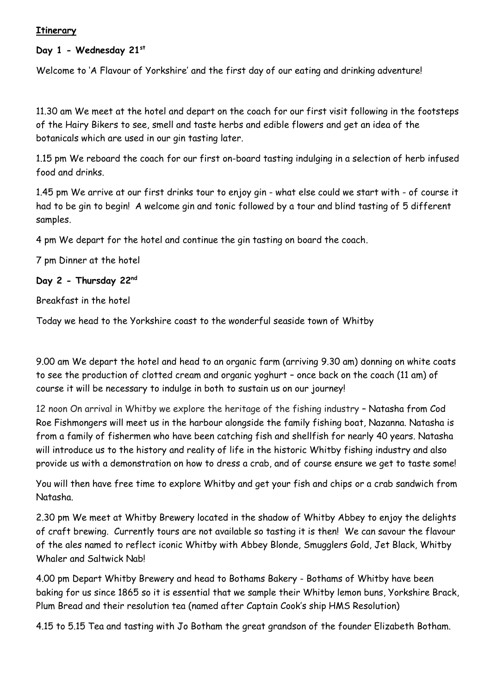#### **Itinerary**

#### **Day 1 - Wednesday 21st**

Welcome to 'A Flavour of Yorkshire' and the first day of our eating and drinking adventure!

11.30 am We meet at the hotel and depart on the coach for our first visit following in the footsteps of the Hairy Bikers to see, smell and taste herbs and edible flowers and get an idea of the botanicals which are used in our gin tasting later.

1.15 pm We reboard the coach for our first on-board tasting indulging in a selection of herb infused food and drinks.

1.45 pm We arrive at our first drinks tour to enjoy gin - what else could we start with - of course it had to be gin to begin! A welcome gin and tonic followed by a tour and blind tasting of 5 different samples.

4 pm We depart for the hotel and continue the gin tasting on board the coach.

7 pm Dinner at the hotel

#### **Day 2 - Thursday 22nd**

Breakfast in the hotel

Today we head to the Yorkshire coast to the wonderful seaside town of Whitby

9.00 am We depart the hotel and head to an organic farm (arriving 9.30 am) donning on white coats to see the production of clotted cream and organic yoghurt – once back on the coach (11 am) of course it will be necessary to indulge in both to sustain us on our journey!

12 noon On arrival in Whitby we explore the heritage of the fishing industry – Natasha from Cod Roe Fishmongers will meet us in the harbour alongside the family fishing boat, Nazanna. Natasha is from a family of fishermen who have been catching fish and shellfish for nearly 40 years. Natasha will introduce us to the history and reality of life in the historic Whitby fishing industry and also provide us with a demonstration on how to dress a crab, and of course ensure we get to taste some!

You will then have free time to explore Whitby and get your fish and chips or a crab sandwich from Natasha.

2.30 pm We meet at Whitby Brewery located in the shadow of Whitby Abbey to enjoy the delights of craft brewing. Currently tours are not available so tasting it is then! We can savour the flavour of the ales named to reflect iconic Whitby with Abbey Blonde, Smugglers Gold, Jet Black, Whitby Whaler and Saltwick Nab!

4.00 pm Depart Whitby Brewery and head to Bothams Bakery - Bothams of Whitby have been baking for us since 1865 so it is essential that we sample their Whitby lemon buns, Yorkshire Brack, Plum Bread and their resolution tea (named after Captain Cook's ship HMS Resolution)

4.15 to 5.15 Tea and tasting with Jo Botham the great grandson of the founder Elizabeth Botham.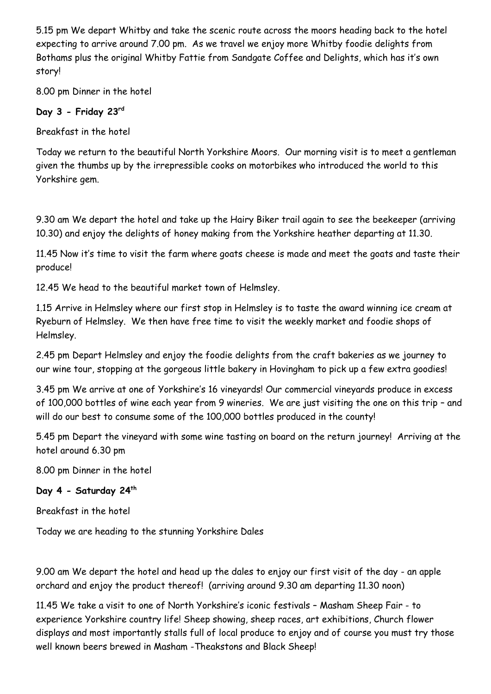5.15 pm We depart Whitby and take the scenic route across the moors heading back to the hotel expecting to arrive around 7.00 pm. As we travel we enjoy more Whitby foodie delights from Bothams plus the original Whitby Fattie from Sandgate Coffee and Delights, which has it's own story!

8.00 pm Dinner in the hotel

# **Day 3 - Friday 23rd**

Breakfast in the hotel

Today we return to the beautiful North Yorkshire Moors. Our morning visit is to meet a gentleman given the thumbs up by the irrepressible cooks on motorbikes who introduced the world to this Yorkshire gem.

9.30 am We depart the hotel and take up the Hairy Biker trail again to see the beekeeper (arriving 10.30) and enjoy the delights of honey making from the Yorkshire heather departing at 11.30.

11.45 Now it's time to visit the farm where goats cheese is made and meet the goats and taste their produce!

12.45 We head to the beautiful market town of Helmsley.

1.15 Arrive in Helmsley where our first stop in Helmsley is to taste the award winning ice cream at Ryeburn of Helmsley. We then have free time to visit the weekly market and foodie shops of Helmsley.

2.45 pm Depart Helmsley and enjoy the foodie delights from the craft bakeries as we journey to our wine tour, stopping at the gorgeous little bakery in Hovingham to pick up a few extra goodies!

3.45 pm We arrive at one of Yorkshire's 16 vineyards! Our commercial vineyards produce in excess of 100,000 bottles of wine each year from 9 wineries. We are just visiting the one on this trip – and will do our best to consume some of the 100,000 bottles produced in the county!

5.45 pm Depart the vineyard with some wine tasting on board on the return journey! Arriving at the hotel around 6.30 pm

8.00 pm Dinner in the hotel

# **Day 4 - Saturday 24th**

Breakfast in the hotel

Today we are heading to the stunning Yorkshire Dales

9.00 am We depart the hotel and head up the dales to enjoy our first visit of the day - an apple orchard and enjoy the product thereof! (arriving around 9.30 am departing 11.30 noon)

11.45 We take a visit to one of North Yorkshire's iconic festivals – Masham Sheep Fair - to experience Yorkshire country life! Sheep showing, sheep races, art exhibitions, Church flower displays and most importantly stalls full of local produce to enjoy and of course you must try those well known beers brewed in Masham -Theakstons and Black Sheep!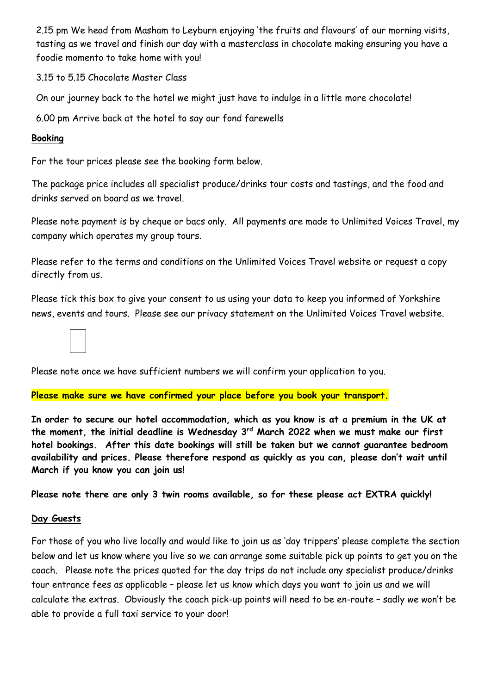2.15 pm We head from Masham to Leyburn enjoying 'the fruits and flavours' of our morning visits, tasting as we travel and finish our day with a masterclass in chocolate making ensuring you have a foodie momento to take home with you!

3.15 to 5.15 Chocolate Master Class

On our journey back to the hotel we might just have to indulge in a little more chocolate!

6.00 pm Arrive back at the hotel to say our fond farewells

#### **Booking**

For the tour prices please see the booking form below.

The package price includes all specialist produce/drinks tour costs and tastings, and the food and drinks served on board as we travel.

Please note payment is by cheque or bacs only. All payments are made to Unlimited Voices Travel, my company which operates my group tours.

Please refer to the terms and conditions on the Unlimited Voices Travel website or request a copy directly from us.

Please tick this box to give your consent to us using your data to keep you informed of Yorkshire news, events and tours. Please see our privacy statement on the Unlimited Voices Travel website.

Please note once we have sufficient numbers we will confirm your application to you.

#### **Please make sure we have confirmed your place before you book your transport.**

**In order to secure our hotel accommodation, which as you know is at a premium in the UK at the moment, the initial deadline is Wednesday 3 rd March 2022 when we must make our first hotel bookings. After this date bookings will still be taken but we cannot guarantee bedroom availability and prices. Please therefore respond as quickly as you can, please don't wait until March if you know you can join us!**

**Please note there are only 3 twin rooms available, so for these please act EXTRA quickly!**

#### **Day Guests**

For those of you who live locally and would like to join us as 'day trippers' please complete the section below and let us know where you live so we can arrange some suitable pick up points to get you on the coach. Please note the prices quoted for the day trips do not include any specialist produce/drinks tour entrance fees as applicable – please let us know which days you want to join us and we will calculate the extras. Obviously the coach pick-up points will need to be en-route – sadly we won't be able to provide a full taxi service to your door!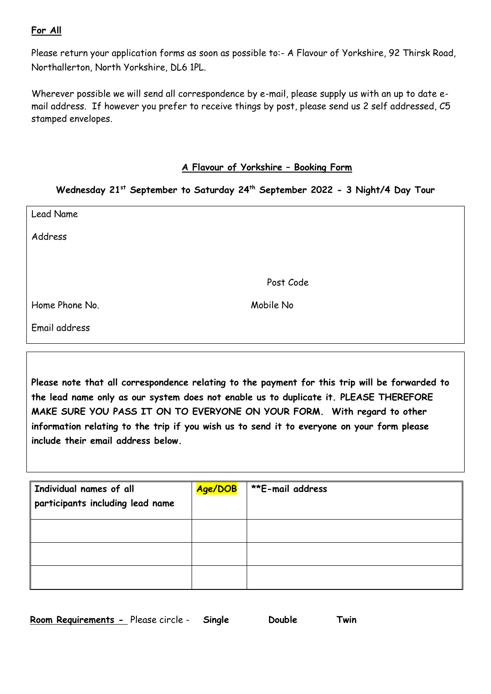## **For All**

Please return your application forms as soon as possible to:- A Flavour of Yorkshire, 92 Thirsk Road, Northallerton, North Yorkshire, DL6 1PL.

Wherever possible we will send all correspondence by e-mail, please supply us with an up to date email address. If however you prefer to receive things by post, please send us 2 self addressed, C5 stamped envelopes.

#### **A Flavour of Yorkshire – Booking Form**

## **Wednesday 21st September to Saturday 24th September 2022 - 3 Night/4 Day Tour**

| Lead Name      |           |
|----------------|-----------|
| Address        |           |
|                |           |
|                | Post Code |
| Home Phone No. | Mobile No |
| Email address  |           |

**Please note that all correspondence relating to the payment for this trip will be forwarded to the lead name only as our system does not enable us to duplicate it. PLEASE THEREFORE MAKE SURE YOU PASS IT ON TO EVERYONE ON YOUR FORM. With regard to other information relating to the trip if you wish us to send it to everyone on your form please include their email address below.** 

| Individual names of all<br>participants including lead name | Age/DOB | <b>**E-mail address</b> |
|-------------------------------------------------------------|---------|-------------------------|
|                                                             |         |                         |
|                                                             |         |                         |
|                                                             |         |                         |

| Room Requirements - Please circle - | Single | Double | Twin |
|-------------------------------------|--------|--------|------|
|-------------------------------------|--------|--------|------|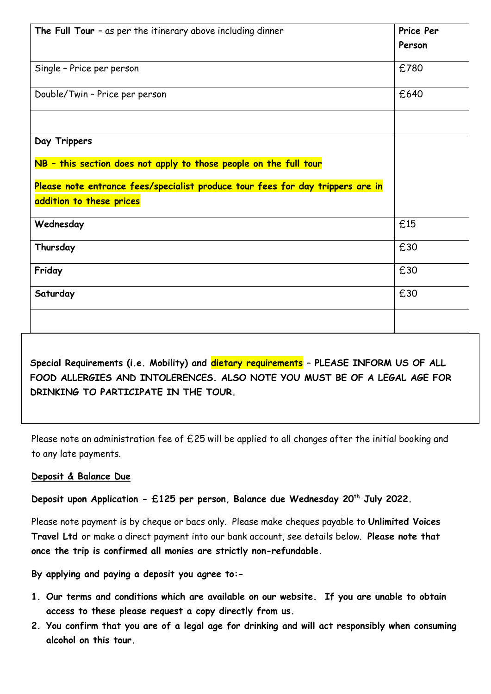| The Full Tour $-$ as per the itinerary above including dinner                  | Price Per |
|--------------------------------------------------------------------------------|-----------|
|                                                                                | Person    |
| Single - Price per person                                                      | £780      |
| Double/Twin - Price per person                                                 | £640      |
|                                                                                |           |
| Day Trippers                                                                   |           |
| NB - this section does not apply to those people on the full tour              |           |
| Please note entrance fees/specialist produce tour fees for day trippers are in |           |
| addition to these prices                                                       |           |
| Wednesday                                                                      | £15       |
| Thursday                                                                       | £30       |
| Friday                                                                         | £30       |
| Saturday                                                                       | £30       |
|                                                                                |           |

**Special Requirements (i.e. Mobility) and dietary requirements – PLEASE INFORM US OF ALL FOOD ALLERGIES AND INTOLERENCES. ALSO NOTE YOU MUST BE OF A LEGAL AGE FOR DRINKING TO PARTICIPATE IN THE TOUR.** 

Please note an administration fee of £25 will be applied to all changes after the initial booking and to any late payments.

## **Deposit & Balance Due**

**Deposit upon Application - £125 per person, Balance due Wednesday 20th July 2022.**

Please note payment is by cheque or bacs only. Please make cheques payable to **Unlimited Voices Travel Ltd** or make a direct payment into our bank account, see details below. **Please note that once the trip is confirmed all monies are strictly non-refundable.**

**By applying and paying a deposit you agree to:-**

- **1. Our terms and conditions which are available on our website. If you are unable to obtain access to these please request a copy directly from us.**
- **2. You confirm that you are of a legal age for drinking and will act responsibly when consuming alcohol on this tour.**